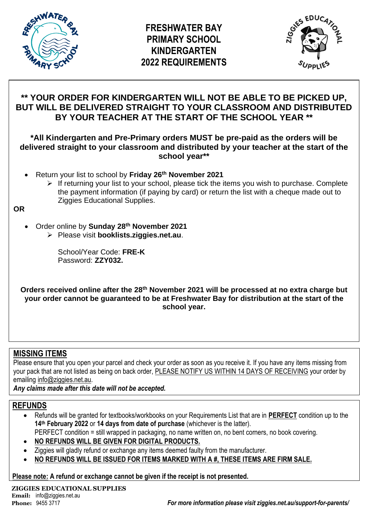



# **\*\* YOUR ORDER FOR KINDERGARTEN WILL NOT BE ABLE TO BE PICKED UP, BUT WILL BE DELIVERED STRAIGHT TO YOUR CLASSROOM AND DISTRIBUTED BY YOUR TEACHER AT THE START OF THE SCHOOL YEAR \*\***

## **\*All Kindergarten and Pre-Primary orders MUST be pre-paid as the orders will be delivered straight to your classroom and distributed by your teacher at the start of the school year\*\***

- Return your list to school by **Friday 26 th November 2021**
	- ➢ If returning your list to your school, please tick the items you wish to purchase. Complete the payment information (if paying by card) or return the list with a cheque made out to Ziggies Educational Supplies.

**OR**

- Order online by **Sunday 28th November 2021**
	- ➢ Please visit **booklists.ziggies.net.au**.

School/Year Code: **FRE-K** Password: **ZZY032.**

**Orders received online after the 28th November 2021 will be processed at no extra charge but your order cannot be guaranteed to be at Freshwater Bay for distribution at the start of the school year.**

# **MISSING ITEMS**

Please ensure that you open your parcel and check your order as soon as you receive it. If you have any items missing from your pack that are not listed as being on back order, PLEASE NOTIFY US WITHIN 14 DAYS OF RECEIVING your order by emailing info@ziggies.net.au.

*Any claims made after this date will not be accepted.*

# **REFUNDS**

- Refunds will be granted for textbooks/workbooks on your Requirements List that are in **PERFECT** condition up to the **14th February 2022** or **14 days from date of purchase** (whichever is the latter).
- PERFECT condition = still wrapped in packaging, no name written on, no bent corners, no book covering.
- **NO REFUNDS WILL BE GIVEN FOR DIGITAL PRODUCTS.**
- Ziggies will gladly refund or exchange any items deemed faulty from the manufacturer.
- **NO REFUNDS WILL BE ISSUED FOR ITEMS MARKED WITH A #, THESE ITEMS ARE FIRM SALE.**

**Please note: A refund or exchange cannot be given if the receipt is not presented.**

**ZIGGIES EDUCATIONAL SUPPLIES Email:** info@ziggies.net.au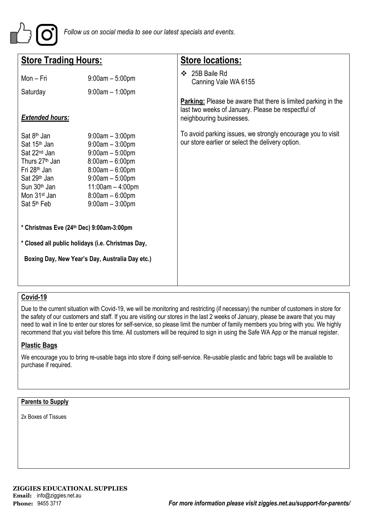

| <b>Store Trading Hours:</b>                                                                                                                                                                                                                              |                                                                                                                                                                                                                                        | <b>Store locations:</b>                                                                                                                                |  |  |
|----------------------------------------------------------------------------------------------------------------------------------------------------------------------------------------------------------------------------------------------------------|----------------------------------------------------------------------------------------------------------------------------------------------------------------------------------------------------------------------------------------|--------------------------------------------------------------------------------------------------------------------------------------------------------|--|--|
| Mon - Fri<br>Saturday                                                                                                                                                                                                                                    | $9:00am - 5:00pm$<br>$9:00am - 1:00pm$                                                                                                                                                                                                 | ❖ 25B Baile Rd<br>Canning Vale WA 6155                                                                                                                 |  |  |
| <b>Extended hours:</b>                                                                                                                                                                                                                                   |                                                                                                                                                                                                                                        | <b>Parking:</b> Please be aware that there is limited parking in the<br>last two weeks of January. Please be respectful of<br>neighbouring businesses. |  |  |
| Sat 8 <sup>th</sup> Jan<br>Sat 15 <sup>th</sup> Jan<br>Sat 22 <sup>nd</sup> Jan<br>Thurs 27 <sup>th</sup> Jan<br>Fri 28 <sup>th</sup> Jan<br>Sat 29 <sup>th</sup> Jan<br>Sun 30 <sup>th</sup> Jan<br>Mon 31 <sup>st</sup> Jan<br>Sat 5 <sup>th</sup> Feb | $9:00am - 3:00pm$<br>$9:00am - 3:00pm$<br>$9:00am - 5:00pm$<br>$8:00am - 6:00pm$<br>$8:00am - 6:00pm$<br>$9:00am - 5:00pm$<br>$11:00am - 4:00pm$<br>$8:00am - 6:00pm$<br>$9:00am - 3:00pm$<br>* Christmas Eve (24th Dec) 9:00am-3:00pm | To avoid parking issues, we strongly encourage you to visit<br>our store earlier or select the delivery option.                                        |  |  |
| * Closed all public holidays (i.e. Christmas Day,                                                                                                                                                                                                        |                                                                                                                                                                                                                                        |                                                                                                                                                        |  |  |
|                                                                                                                                                                                                                                                          | Boxing Day, New Year's Day, Australia Day etc.)                                                                                                                                                                                        |                                                                                                                                                        |  |  |

## **Covid-19**

Due to the current situation with Covid-19, we will be monitoring and restricting (if necessary) the number of customers in store for the safety of our customers and staff. If you are visiting our stores in the last 2 weeks of January, please be aware that you may need to wait in line to enter our stores for self-service, so please limit the number of family members you bring with you. We highly recommend that you visit before this time. All customers will be required to sign in using the Safe WA App or the manual register.

### **Plastic Bags**

We encourage you to bring re-usable bags into store if doing self-service. Re-usable plastic and fabric bags will be available to purchase if required.

#### **Parents to Supply**

2x Boxes of Tissues